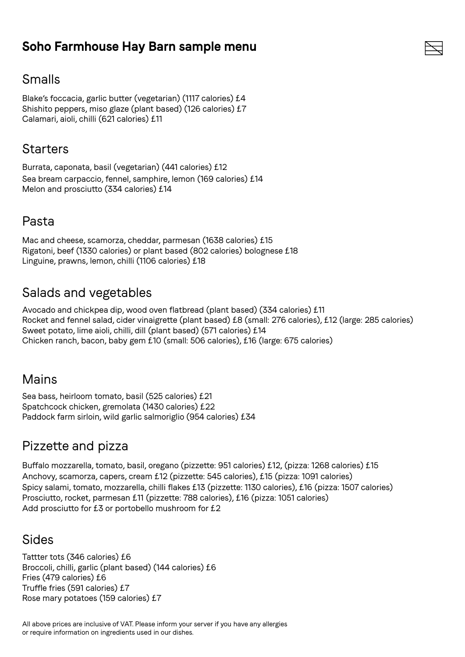## **Soho Farmhouse Hay Barn sample menu**

## Smalls

Blake's foccacia, garlic butter (vegetarian) (1117 calories) £4 Shishito peppers, miso glaze (plant based) (126 calories) £7 Calamari, aioli, chilli (621 calories) £11

#### **Starters**

Burrata, caponata, basil (vegetarian) (441 calories) £12 Sea bream carpaccio, fennel, samphire, lemon (169 calories) £14 Melon and prosciutto (334 calories) £14

## Pasta

Mac and cheese, scamorza, cheddar, parmesan (1638 calories) £15 Rigatoni, beef (1330 calories) or plant based (802 calories) bolognese £18 Linguine, prawns, lemon, chilli (1106 calories) £18

## Salads and vegetables

Avocado and chickpea dip, wood oven flatbread (plant based) (334 calories) £11 Rocket and fennel salad, cider vinaigrette (plant based) £8 (small: 276 calories), £12 (large: 285 calories) Sweet potato, lime aioli, chilli, dill (plant based) (571 calories) £14 Chicken ranch, bacon, baby gem £10 (small: 506 calories), £16 (large: 675 calories)

## Mains

Sea bass, heirloom tomato, basil (525 calories) £21 Spatchcock chicken, gremolata (1430 calories) £22 Paddock farm sirloin, wild garlic salmoriglio (954 calories) £34

## Pizzette and pizza

Buffalo mozzarella, tomato, basil, oregano (pizzette: 951 calories) £12, (pizza: 1268 calories) £15 Anchovy, scamorza, capers, cream £12 (pizzette: 545 calories), £15 (pizza: 1091 calories) Spicy salami, tomato, mozzarella, chilli flakes £13 (pizzette: 1130 calories), £16 (pizza: 1507 calories) Prosciutto, rocket, parmesan £11 (pizzette: 788 calories), £16 (pizza: 1051 calories) Add prosciutto for £3 or portobello mushroom for £2

## Sides

Tattter tots (346 calories) £6 Broccoli, chilli, garlic (plant based) (144 calories) £6 Fries (479 calories) £6 Truffle fries (591 calories) £7 Rose mary potatoes (159 calories) £7